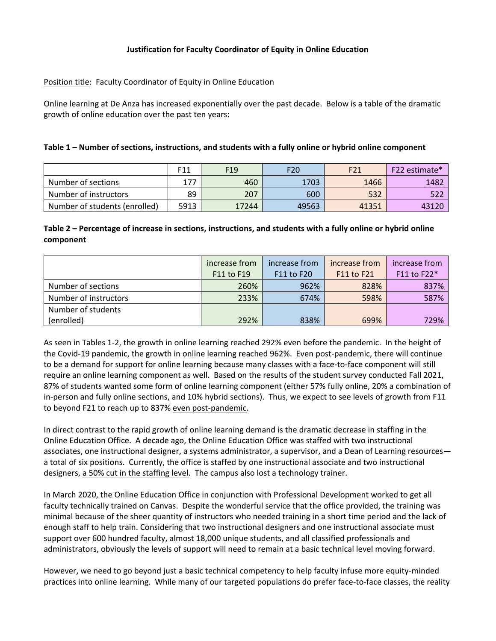## **Justification for Faculty Coordinator of Equity in Online Education**

Position title: Faculty Coordinator of Equity in Online Education

Online learning at De Anza has increased exponentially over the past decade. Below is a table of the dramatic growth of online education over the past ten years:

|                               | F11  | F19   | F20   | F <sub>21</sub> | <b>F22</b> estimate* |
|-------------------------------|------|-------|-------|-----------------|----------------------|
| Number of sections            | 177  | 460   | 1703  | 1466            | 1482                 |
| Number of instructors         | 89   | 207   | 600   | 532             | 522                  |
| Number of students (enrolled) | 5913 | 17244 | 49563 | 41351           | 43120                |

## **Table 1 – Number of sections, instructions, and students with a fully online or hybrid online component**

**Table 2 – Percentage of increase in sections, instructions, and students with a fully online or hybrid online component**

|                       | increase from | increase from | increase from | increase from |
|-----------------------|---------------|---------------|---------------|---------------|
|                       | F11 to F19    | F11 to F20    | F11 to F21    | F11 to F22*   |
| Number of sections    | 260%          | 962%          | 828%          | 837%          |
| Number of instructors | 233%          | 674%          | 598%          | 587%          |
| Number of students    |               |               |               |               |
| (enrolled)            | 292%          | 838%          | 699%          | 729%          |

As seen in Tables 1-2, the growth in online learning reached 292% even before the pandemic. In the height of the Covid-19 pandemic, the growth in online learning reached 962%. Even post-pandemic, there will continue to be a demand for support for online learning because many classes with a face-to-face component will still require an online learning component as well. Based on the results of the student survey conducted Fall 2021, 87% of students wanted some form of online learning component (either 57% fully online, 20% a combination of in-person and fully online sections, and 10% hybrid sections). Thus, we expect to see levels of growth from F11 to beyond F21 to reach up to 837% even post-pandemic.

In direct contrast to the rapid growth of online learning demand is the dramatic decrease in staffing in the Online Education Office. A decade ago, the Online Education Office was staffed with two instructional associates, one instructional designer, a systems administrator, a supervisor, and a Dean of Learning resources a total of six positions. Currently, the office is staffed by one instructional associate and two instructional designers, a 50% cut in the staffing level. The campus also lost a technology trainer.

In March 2020, the Online Education Office in conjunction with Professional Development worked to get all faculty technically trained on Canvas. Despite the wonderful service that the office provided, the training was minimal because of the sheer quantity of instructors who needed training in a short time period and the lack of enough staff to help train. Considering that two instructional designers and one instructional associate must support over 600 hundred faculty, almost 18,000 unique students, and all classified professionals and administrators, obviously the levels of support will need to remain at a basic technical level moving forward.

However, we need to go beyond just a basic technical competency to help faculty infuse more equity-minded practices into online learning. While many of our targeted populations do prefer face-to-face classes, the reality